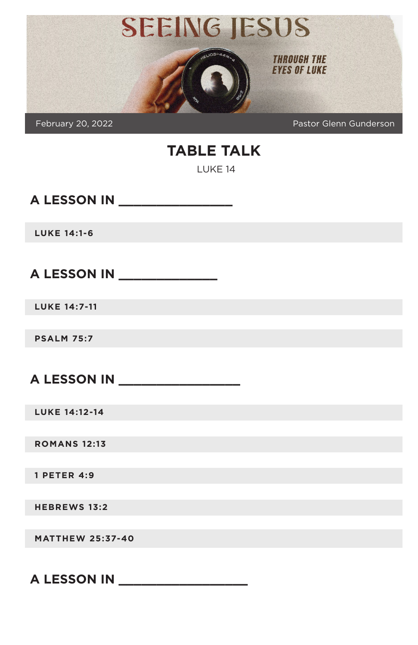

February 20, 2022 Pastor Glenn Gunderson

# **TABLE TALK**

LUKE 14

**A LESSON IN \_\_\_\_\_\_\_\_\_\_\_\_\_\_\_**

**LUKE 14:1-6**

**A LESSON IN \_\_\_\_\_\_\_\_\_\_\_\_\_**

**LUKE 14:7-11**

**PSALM 75:7**

**A LESSON IN \_\_\_\_\_\_\_\_\_\_\_\_\_\_\_\_**

**LUKE 14:12-14**

**ROMANS 12:13**

**1 PETER 4:9**

**HEBREWS 13:2**

**MATTHEW 25:37-40**

**A LESSON IN \_\_\_\_\_\_\_\_\_\_\_\_\_\_\_\_\_**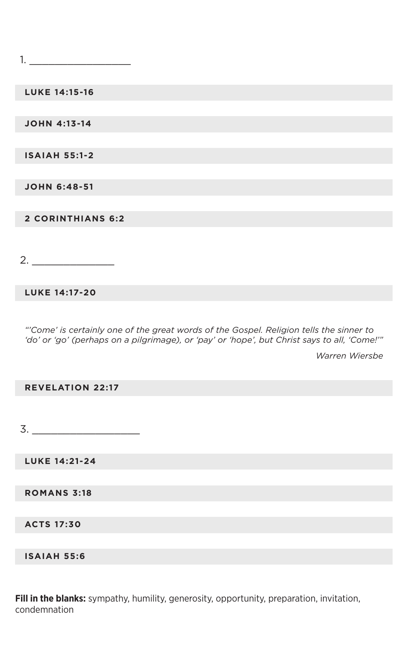1. \_\_\_\_\_\_\_\_\_\_\_\_\_\_\_\_

**LUKE 14:15-16**

**JOHN 4:13-14**

**ISAIAH 55:1-2**

**JOHN 6:48-51**

**2 CORINTHIANS 6:2**

 $2.$ 

**LUKE 14:17-20**

*"'Come' is certainly one of the great words of the Gospel. Religion tells the sinner to 'do' or 'go' (perhaps on a pilgrimage), or 'pay' or 'hope', but Christ says to all, 'Come!'"*

*Warren Wiersbe*

#### **REVELATION 22:17**

 $3.$ 

**LUKE 14:21-24**

**ROMANS 3:18**

**ACTS 17:30**

**ISAIAH 55:6**

**Fill in the blanks:** sympathy, humility, generosity, opportunity, preparation, invitation, condemnation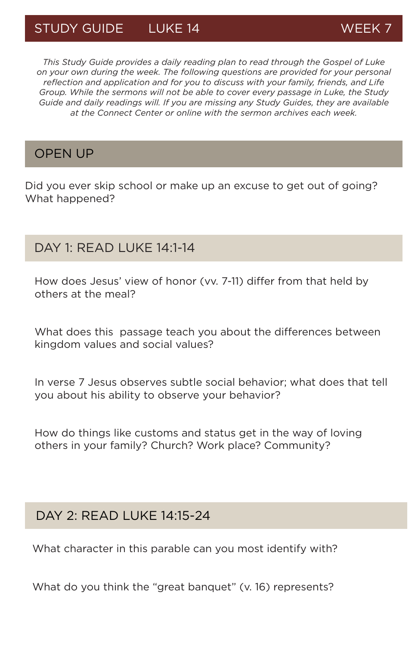# STUDY GUIDE LUKE 14 WEEK 7

*This Study Guide provides a daily reading plan to read through the Gospel of Luke on your own during the week. The following questions are provided for your personal reflection and application and for you to discuss with your family, friends, and Life Group. While the sermons will not be able to cover every passage in Luke, the Study Guide and daily readings will. If you are missing any Study Guides, they are available at the Connect Center or online with the sermon archives each week.*

#### OPEN UP

Did you ever skip school or make up an excuse to get out of going? What happened?

## DAY 1: READ LUKE 14:1-14

How does Jesus' view of honor (vv. 7-11) differ from that held by others at the meal?

What does this passage teach you about the differences between kingdom values and social values?

In verse 7 Jesus observes subtle social behavior; what does that tell you about his ability to observe your behavior?

How do things like customs and status get in the way of loving others in your family? Church? Work place? Community?

## DAY 2: READ LUKE 14:15-24

What character in this parable can you most identify with?

What do you think the "great banquet" (v. 16) represents?